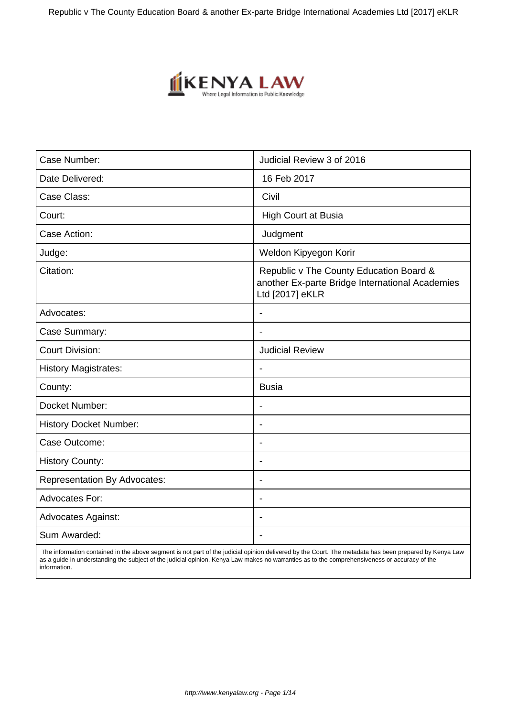Republic v The County Education Board & another Ex-parte Bridge International Academies Ltd [2017] eKLR



| Case Number:                        | Judicial Review 3 of 2016                                                                                     |
|-------------------------------------|---------------------------------------------------------------------------------------------------------------|
| Date Delivered:                     | 16 Feb 2017                                                                                                   |
| Case Class:                         | Civil                                                                                                         |
| Court:                              | <b>High Court at Busia</b>                                                                                    |
| Case Action:                        | Judgment                                                                                                      |
| Judge:                              | Weldon Kipyegon Korir                                                                                         |
| Citation:                           | Republic v The County Education Board &<br>another Ex-parte Bridge International Academies<br>Ltd [2017] eKLR |
| Advocates:                          |                                                                                                               |
| Case Summary:                       | $\blacksquare$                                                                                                |
| <b>Court Division:</b>              | <b>Judicial Review</b>                                                                                        |
| <b>History Magistrates:</b>         |                                                                                                               |
| County:                             | <b>Busia</b>                                                                                                  |
| Docket Number:                      | $\blacksquare$                                                                                                |
| <b>History Docket Number:</b>       | $\blacksquare$                                                                                                |
| Case Outcome:                       | $\blacksquare$                                                                                                |
| <b>History County:</b>              | $\overline{\phantom{a}}$                                                                                      |
| <b>Representation By Advocates:</b> | $\overline{\phantom{a}}$                                                                                      |
| Advocates For:                      | $\blacksquare$                                                                                                |
| <b>Advocates Against:</b>           | $\overline{\phantom{0}}$                                                                                      |
| Sum Awarded:                        |                                                                                                               |

 The information contained in the above segment is not part of the judicial opinion delivered by the Court. The metadata has been prepared by Kenya Law as a guide in understanding the subject of the judicial opinion. Kenya Law makes no warranties as to the comprehensiveness or accuracy of the information.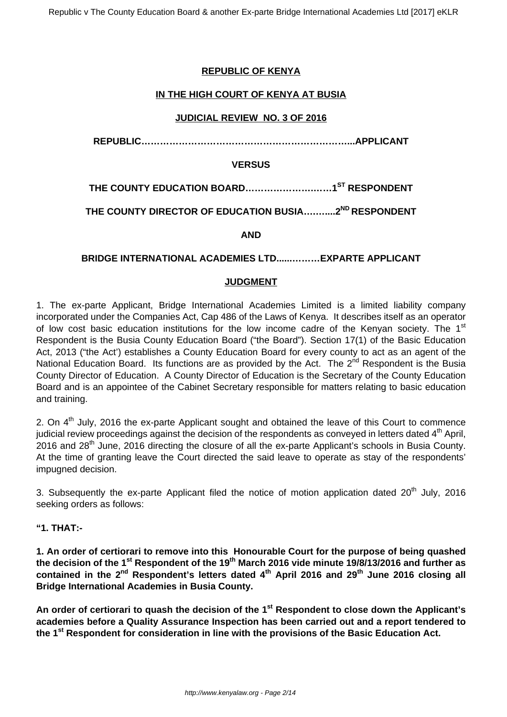# **REPUBLIC OF KENYA**

## **IN THE HIGH COURT OF KENYA AT BUSIA**

## **JUDICIAL REVIEW NO. 3 OF 2016**

**REPUBLIC…………………………………………………………...APPLICANT**

#### **VERSUS**

**THE COUNTY EDUCATION BOARD………………….……1ST RESPONDENT**

**THE COUNTY DIRECTOR OF EDUCATION BUSIA….…....2ND RESPONDENT**

**AND**

# **BRIDGE INTERNATIONAL ACADEMIES LTD......………EXPARTE APPLICANT**

#### **JUDGMENT**

1. The ex-parte Applicant, Bridge International Academies Limited is a limited liability company incorporated under the Companies Act, Cap 486 of the Laws of Kenya. It describes itself as an operator of low cost basic education institutions for the low income cadre of the Kenyan society. The 1<sup>st</sup> Respondent is the Busia County Education Board ("the Board"). Section 17(1) of the Basic Education Act, 2013 ("the Act') establishes a County Education Board for every county to act as an agent of the National Education Board. Its functions are as provided by the Act. The 2<sup>nd</sup> Respondent is the Busia County Director of Education. A County Director of Education is the Secretary of the County Education Board and is an appointee of the Cabinet Secretary responsible for matters relating to basic education and training.

2. On 4<sup>th</sup> July, 2016 the ex-parte Applicant sought and obtained the leave of this Court to commence judicial review proceedings against the decision of the respondents as conveyed in letters dated 4<sup>th</sup> April, 2016 and 28<sup>th</sup> June, 2016 directing the closure of all the ex-parte Applicant's schools in Busia County. At the time of granting leave the Court directed the said leave to operate as stay of the respondents' impugned decision.

3. Subsequently the ex-parte Applicant filed the notice of motion application dated  $20<sup>th</sup>$  July, 2016 seeking orders as follows:

#### **"1. THAT:-**

**1. An order of certiorari to remove into this Honourable Court for the purpose of being quashed the decision of the 1st Respondent of the 19th March 2016 vide minute 19/8/13/2016 and further as contained in the 2nd Respondent's letters dated 4th April 2016 and 29th June 2016 closing all Bridge International Academies in Busia County.**

**An order of certiorari to quash the decision of the 1st Respondent to close down the Applicant's academies before a Quality Assurance Inspection has been carried out and a report tendered to the 1st Respondent for consideration in line with the provisions of the Basic Education Act.**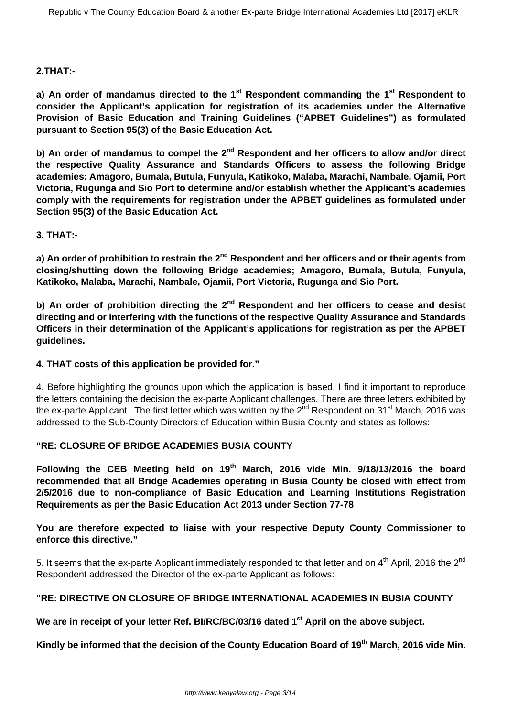# **2.THAT:-**

**a) An order of mandamus directed to the 1st Respondent commanding the 1st Respondent to consider the Applicant's application for registration of its academies under the Alternative Provision of Basic Education and Training Guidelines ("APBET Guidelines") as formulated pursuant to Section 95(3) of the Basic Education Act.**

**b) An order of mandamus to compel the 2nd Respondent and her officers to allow and/or direct the respective Quality Assurance and Standards Officers to assess the following Bridge academies: Amagoro, Bumala, Butula, Funyula, Katikoko, Malaba, Marachi, Nambale, Ojamii, Port Victoria, Rugunga and Sio Port to determine and/or establish whether the Applicant's academies comply with the requirements for registration under the APBET guidelines as formulated under Section 95(3) of the Basic Education Act.**

**3. THAT:-**

**a) An order of prohibition to restrain the 2nd Respondent and her officers and or their agents from closing/shutting down the following Bridge academies; Amagoro, Bumala, Butula, Funyula, Katikoko, Malaba, Marachi, Nambale, Ojamii, Port Victoria, Rugunga and Sio Port.**

**b) An order of prohibition directing the 2nd Respondent and her officers to cease and desist directing and or interfering with the functions of the respective Quality Assurance and Standards Officers in their determination of the Applicant's applications for registration as per the APBET guidelines.**

### **4. THAT costs of this application be provided for."**

4. Before highlighting the grounds upon which the application is based, I find it important to reproduce the letters containing the decision the ex-parte Applicant challenges. There are three letters exhibited by the ex-parte Applicant. The first letter which was written by the  $2^{nd}$  Respondent on 31<sup>st</sup> March, 2016 was addressed to the Sub-County Directors of Education within Busia County and states as follows:

#### **"RE: CLOSURE OF BRIDGE ACADEMIES BUSIA COUNTY**

**Following the CEB Meeting held on 19th March, 2016 vide Min. 9/18/13/2016 the board recommended that all Bridge Academies operating in Busia County be closed with effect from 2/5/2016 due to non-compliance of Basic Education and Learning Institutions Registration Requirements as per the Basic Education Act 2013 under Section 77-78**

**You are therefore expected to liaise with your respective Deputy County Commissioner to enforce this directive."**

5. It seems that the ex-parte Applicant immediately responded to that letter and on  $4^{th}$  April, 2016 the  $2^{nd}$ Respondent addressed the Director of the ex-parte Applicant as follows:

# **"RE: DIRECTIVE ON CLOSURE OF BRIDGE INTERNATIONAL ACADEMIES IN BUSIA COUNTY**

# **We are in receipt of your letter Ref. BI/RC/BC/03/16 dated 1st April on the above subject.**

**Kindly be informed that the decision of the County Education Board of 19th March, 2016 vide Min.**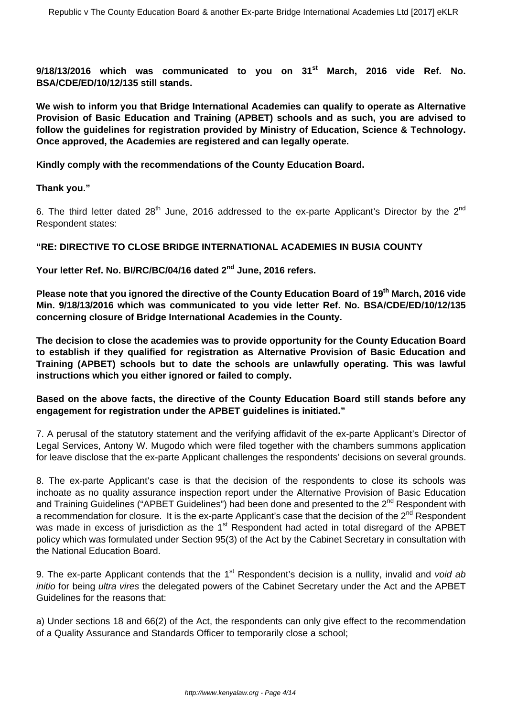**9/18/13/2016 which was communicated to you on 31st March, 2016 vide Ref. No. BSA/CDE/ED/10/12/135 still stands.**

**We wish to inform you that Bridge International Academies can qualify to operate as Alternative Provision of Basic Education and Training (APBET) schools and as such, you are advised to follow the guidelines for registration provided by Ministry of Education, Science & Technology. Once approved, the Academies are registered and can legally operate.**

**Kindly comply with the recommendations of the County Education Board.**

**Thank you."**

6. The third letter dated  $28<sup>th</sup>$  June, 2016 addressed to the ex-parte Applicant's Director by the  $2<sup>nd</sup>$ Respondent states:

#### **"RE: DIRECTIVE TO CLOSE BRIDGE INTERNATIONAL ACADEMIES IN BUSIA COUNTY**

**Your letter Ref. No. BI/RC/BC/04/16 dated 2nd June, 2016 refers.**

**Please note that you ignored the directive of the County Education Board of 19th March, 2016 vide Min. 9/18/13/2016 which was communicated to you vide letter Ref. No. BSA/CDE/ED/10/12/135 concerning closure of Bridge International Academies in the County.**

**The decision to close the academies was to provide opportunity for the County Education Board to establish if they qualified for registration as Alternative Provision of Basic Education and Training (APBET) schools but to date the schools are unlawfully operating. This was lawful instructions which you either ignored or failed to comply.**

## **Based on the above facts, the directive of the County Education Board still stands before any engagement for registration under the APBET guidelines is initiated."**

7. A perusal of the statutory statement and the verifying affidavit of the ex-parte Applicant's Director of Legal Services, Antony W. Mugodo which were filed together with the chambers summons application for leave disclose that the ex-parte Applicant challenges the respondents' decisions on several grounds.

8. The ex-parte Applicant's case is that the decision of the respondents to close its schools was inchoate as no quality assurance inspection report under the Alternative Provision of Basic Education and Training Guidelines ("APBET Guidelines") had been done and presented to the 2<sup>nd</sup> Respondent with a recommendation for closure. It is the ex-parte Applicant's case that the decision of the 2<sup>nd</sup> Respondent was made in excess of jurisdiction as the 1<sup>st</sup> Respondent had acted in total disregard of the APBET policy which was formulated under Section 95(3) of the Act by the Cabinet Secretary in consultation with the National Education Board.

9. The ex-parte Applicant contends that the 1<sup>st</sup> Respondent's decision is a nullity, invalid and void ab initio for being ultra vires the delegated powers of the Cabinet Secretary under the Act and the APBET Guidelines for the reasons that:

a) Under sections 18 and 66(2) of the Act, the respondents can only give effect to the recommendation of a Quality Assurance and Standards Officer to temporarily close a school;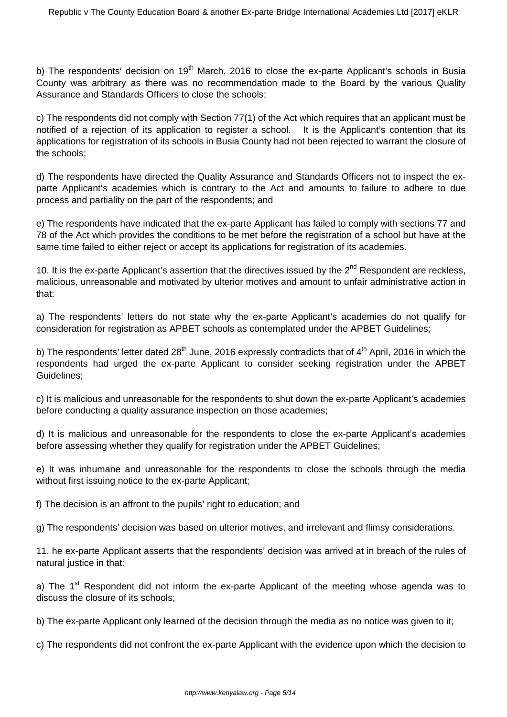b) The respondents' decision on 19<sup>th</sup> March, 2016 to close the ex-parte Applicant's schools in Busia County was arbitrary as there was no recommendation made to the Board by the various Quality Assurance and Standards Officers to close the schools;

c) The respondents did not comply with Section 77(1) of the Act which requires that an applicant must be notified of a rejection of its application to register a school. It is the Applicant's contention that its applications for registration of its schools in Busia County had not been rejected to warrant the closure of the schools;

d) The respondents have directed the Quality Assurance and Standards Officers not to inspect the exparte Applicant's academies which is contrary to the Act and amounts to failure to adhere to due process and partiality on the part of the respondents; and

e) The respondents have indicated that the ex-parte Applicant has failed to comply with sections 77 and 78 of the Act which provides the conditions to be met before the registration of a school but have at the same time failed to either reject or accept its applications for registration of its academies.

10. It is the ex-parte Applicant's assertion that the directives issued by the  $2^{nd}$  Respondent are reckless, malicious, unreasonable and motivated by ulterior motives and amount to unfair administrative action in that:

a) The respondents' letters do not state why the ex-parte Applicant's academies do not qualify for consideration for registration as APBET schools as contemplated under the APBET Guidelines;

b) The respondents' letter dated  $28<sup>th</sup>$  June, 2016 expressly contradicts that of  $4<sup>th</sup>$  April, 2016 in which the respondents had urged the ex-parte Applicant to consider seeking registration under the APBET Guidelines;

c) It is malicious and unreasonable for the respondents to shut down the ex-parte Applicant's academies before conducting a quality assurance inspection on those academies;

d) It is malicious and unreasonable for the respondents to close the ex-parte Applicant's academies before assessing whether they qualify for registration under the APBET Guidelines;

e) It was inhumane and unreasonable for the respondents to close the schools through the media without first issuing notice to the ex-parte Applicant;

f) The decision is an affront to the pupils' right to education; and

g) The respondents' decision was based on ulterior motives, and irrelevant and flimsy considerations.

11. he ex-parte Applicant asserts that the respondents' decision was arrived at in breach of the rules of natural justice in that:

a) The  $1<sup>st</sup>$  Respondent did not inform the ex-parte Applicant of the meeting whose agenda was to discuss the closure of its schools;

b) The ex-parte Applicant only learned of the decision through the media as no notice was given to it;

c) The respondents did not confront the ex-parte Applicant with the evidence upon which the decision to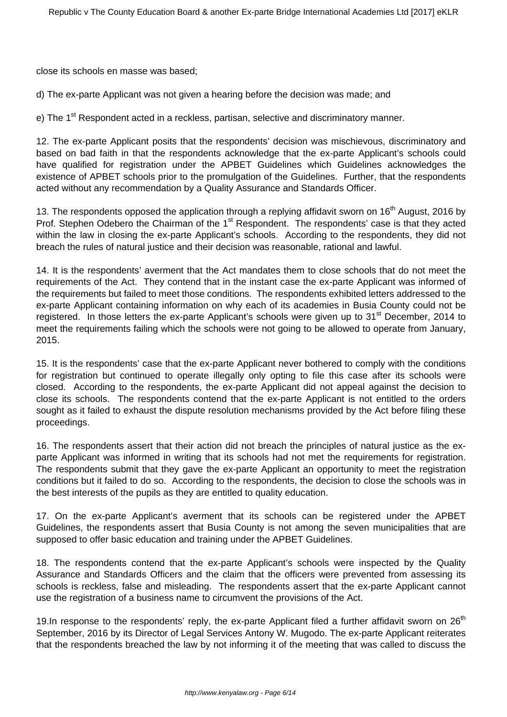close its schools en masse was based;

d) The ex-parte Applicant was not given a hearing before the decision was made; and

e) The 1<sup>st</sup> Respondent acted in a reckless, partisan, selective and discriminatory manner.

12. The ex-parte Applicant posits that the respondents' decision was mischievous, discriminatory and based on bad faith in that the respondents acknowledge that the ex-parte Applicant's schools could have qualified for registration under the APBET Guidelines which Guidelines acknowledges the existence of APBET schools prior to the promulgation of the Guidelines. Further, that the respondents acted without any recommendation by a Quality Assurance and Standards Officer.

13. The respondents opposed the application through a replying affidavit sworn on  $16<sup>th</sup>$  August, 2016 by Prof. Stephen Odebero the Chairman of the 1<sup>st</sup> Respondent. The respondents' case is that they acted within the law in closing the ex-parte Applicant's schools. According to the respondents, they did not breach the rules of natural justice and their decision was reasonable, rational and lawful.

14. It is the respondents' averment that the Act mandates them to close schools that do not meet the requirements of the Act. They contend that in the instant case the ex-parte Applicant was informed of the requirements but failed to meet those conditions. The respondents exhibited letters addressed to the ex-parte Applicant containing information on why each of its academies in Busia County could not be registered. In those letters the ex-parte Applicant's schools were given up to 31<sup>st</sup> December, 2014 to meet the requirements failing which the schools were not going to be allowed to operate from January, 2015.

15. It is the respondents' case that the ex-parte Applicant never bothered to comply with the conditions for registration but continued to operate illegally only opting to file this case after its schools were closed. According to the respondents, the ex-parte Applicant did not appeal against the decision to close its schools. The respondents contend that the ex-parte Applicant is not entitled to the orders sought as it failed to exhaust the dispute resolution mechanisms provided by the Act before filing these proceedings.

16. The respondents assert that their action did not breach the principles of natural justice as the exparte Applicant was informed in writing that its schools had not met the requirements for registration. The respondents submit that they gave the ex-parte Applicant an opportunity to meet the registration conditions but it failed to do so. According to the respondents, the decision to close the schools was in the best interests of the pupils as they are entitled to quality education.

17. On the ex-parte Applicant's averment that its schools can be registered under the APBET Guidelines, the respondents assert that Busia County is not among the seven municipalities that are supposed to offer basic education and training under the APBET Guidelines.

18. The respondents contend that the ex-parte Applicant's schools were inspected by the Quality Assurance and Standards Officers and the claim that the officers were prevented from assessing its schools is reckless, false and misleading. The respondents assert that the ex-parte Applicant cannot use the registration of a business name to circumvent the provisions of the Act.

19.In response to the respondents' reply, the ex-parte Applicant filed a further affidavit sworn on  $26<sup>th</sup>$ September, 2016 by its Director of Legal Services Antony W. Mugodo. The ex-parte Applicant reiterates that the respondents breached the law by not informing it of the meeting that was called to discuss the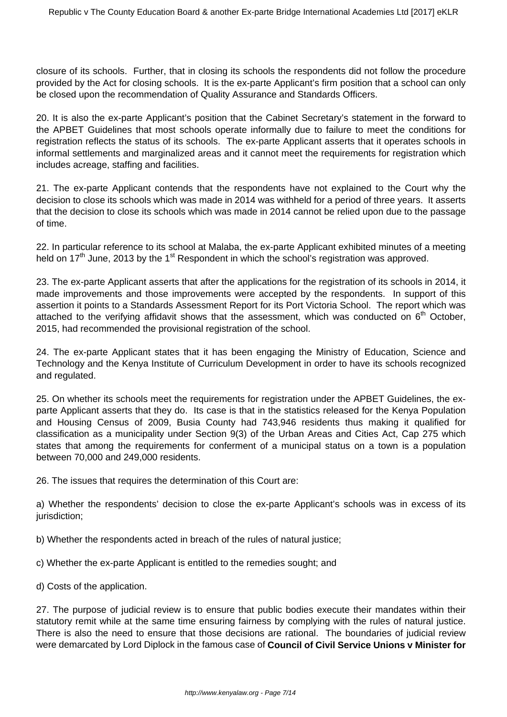closure of its schools. Further, that in closing its schools the respondents did not follow the procedure provided by the Act for closing schools. It is the ex-parte Applicant's firm position that a school can only be closed upon the recommendation of Quality Assurance and Standards Officers.

20. It is also the ex-parte Applicant's position that the Cabinet Secretary's statement in the forward to the APBET Guidelines that most schools operate informally due to failure to meet the conditions for registration reflects the status of its schools. The ex-parte Applicant asserts that it operates schools in informal settlements and marginalized areas and it cannot meet the requirements for registration which includes acreage, staffing and facilities.

21. The ex-parte Applicant contends that the respondents have not explained to the Court why the decision to close its schools which was made in 2014 was withheld for a period of three years. It asserts that the decision to close its schools which was made in 2014 cannot be relied upon due to the passage of time.

22. In particular reference to its school at Malaba, the ex-parte Applicant exhibited minutes of a meeting held on  $17<sup>th</sup>$  June, 2013 by the 1<sup>st</sup> Respondent in which the school's registration was approved.

23. The ex-parte Applicant asserts that after the applications for the registration of its schools in 2014, it made improvements and those improvements were accepted by the respondents. In support of this assertion it points to a Standards Assessment Report for its Port Victoria School. The report which was attached to the verifying affidavit shows that the assessment, which was conducted on  $6<sup>th</sup>$  October. 2015, had recommended the provisional registration of the school.

24. The ex-parte Applicant states that it has been engaging the Ministry of Education, Science and Technology and the Kenya Institute of Curriculum Development in order to have its schools recognized and regulated.

25. On whether its schools meet the requirements for registration under the APBET Guidelines, the exparte Applicant asserts that they do. Its case is that in the statistics released for the Kenya Population and Housing Census of 2009, Busia County had 743,946 residents thus making it qualified for classification as a municipality under Section 9(3) of the Urban Areas and Cities Act, Cap 275 which states that among the requirements for conferment of a municipal status on a town is a population between 70,000 and 249,000 residents.

26. The issues that requires the determination of this Court are:

a) Whether the respondents' decision to close the ex-parte Applicant's schools was in excess of its jurisdiction;

b) Whether the respondents acted in breach of the rules of natural justice;

- c) Whether the ex-parte Applicant is entitled to the remedies sought; and
- d) Costs of the application.

27. The purpose of judicial review is to ensure that public bodies execute their mandates within their statutory remit while at the same time ensuring fairness by complying with the rules of natural justice. There is also the need to ensure that those decisions are rational. The boundaries of judicial review were demarcated by Lord Diplock in the famous case of **Council of Civil Service Unions v Minister for**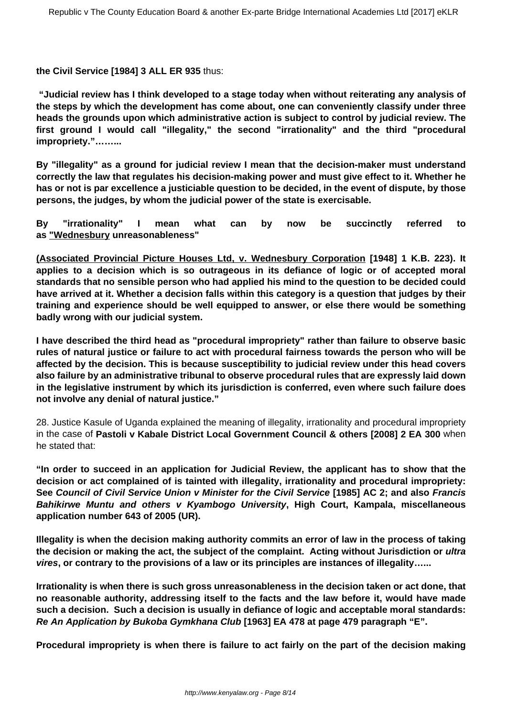**the Civil Service [1984] 3 ALL ER 935** thus:

**"Judicial review has I think developed to a stage today when without reiterating any analysis of the steps by which the development has come about, one can conveniently classify under three heads the grounds upon which administrative action is subject to control by judicial review. The first ground I would call "illegality," the second "irrationality" and the third "procedural impropriety."……...**

**By "illegality" as a ground for judicial review I mean that the decision-maker must understand correctly the law that regulates his decision-making power and must give effect to it. Whether he has or not is par excellence a justiciable question to be decided, in the event of dispute, by those persons, the judges, by whom the judicial power of the state is exercisable.**

**By "irrationality" I mean what can by now be succinctly referred to as "Wednesbury unreasonableness"**

**(Associated Provincial Picture Houses Ltd, v. Wednesbury Corporation [1948] 1 K.B. 223). It applies to a decision which is so outrageous in its defiance of logic or of accepted moral standards that no sensible person who had applied his mind to the question to be decided could have arrived at it. Whether a decision falls within this category is a question that judges by their training and experience should be well equipped to answer, or else there would be something badly wrong with our judicial system.** 

**I have described the third head as "procedural impropriety" rather than failure to observe basic rules of natural justice or failure to act with procedural fairness towards the person who will be affected by the decision. This is because susceptibility to judicial review under this head covers also failure by an administrative tribunal to observe procedural rules that are expressly laid down in the legislative instrument by which its jurisdiction is conferred, even where such failure does not involve any denial of natural justice."**

28. Justice Kasule of Uganda explained the meaning of illegality, irrationality and procedural impropriety in the case of **Pastoli v Kabale District Local Government Council & others [2008] 2 EA 300** when he stated that:

**"In order to succeed in an application for Judicial Review, the applicant has to show that the decision or act complained of is tainted with illegality, irrationality and procedural impropriety: See Council of Civil Service Union v Minister for the Civil Service [1985] AC 2; and also Francis Bahikirwe Muntu and others v Kyambogo University, High Court, Kampala, miscellaneous application number 643 of 2005 (UR).**

**Illegality is when the decision making authority commits an error of law in the process of taking the decision or making the act, the subject of the complaint. Acting without Jurisdiction or ultra vires, or contrary to the provisions of a law or its principles are instances of illegality…...**

**Irrationality is when there is such gross unreasonableness in the decision taken or act done, that no reasonable authority, addressing itself to the facts and the law before it, would have made such a decision. Such a decision is usually in defiance of logic and acceptable moral standards: Re An Application by Bukoba Gymkhana Club [1963] EA 478 at page 479 paragraph "E".**

**Procedural impropriety is when there is failure to act fairly on the part of the decision making**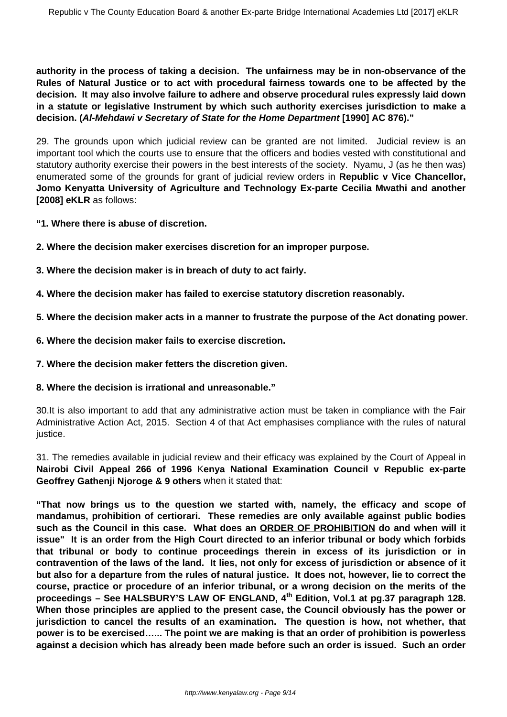**authority in the process of taking a decision. The unfairness may be in non-observance of the Rules of Natural Justice or to act with procedural fairness towards one to be affected by the decision. It may also involve failure to adhere and observe procedural rules expressly laid down in a statute or legislative Instrument by which such authority exercises jurisdiction to make a decision. (Al-Mehdawi v Secretary of State for the Home Department [1990] AC 876)."**

29. The grounds upon which judicial review can be granted are not limited. Judicial review is an important tool which the courts use to ensure that the officers and bodies vested with constitutional and statutory authority exercise their powers in the best interests of the society. Nyamu, J (as he then was) enumerated some of the grounds for grant of judicial review orders in **Republic v Vice Chancellor, Jomo Kenyatta University of Agriculture and Technology Ex-parte Cecilia Mwathi and another [2008] eKLR** as follows:

**"1. Where there is abuse of discretion.**

- **2. Where the decision maker exercises discretion for an improper purpose.**
- **3. Where the decision maker is in breach of duty to act fairly.**
- **4. Where the decision maker has failed to exercise statutory discretion reasonably.**
- **5. Where the decision maker acts in a manner to frustrate the purpose of the Act donating power.**
- **6. Where the decision maker fails to exercise discretion.**
- **7. Where the decision maker fetters the discretion given.**

#### **8. Where the decision is irrational and unreasonable."**

30.It is also important to add that any administrative action must be taken in compliance with the Fair Administrative Action Act, 2015. Section 4 of that Act emphasises compliance with the rules of natural justice.

31. The remedies available in judicial review and their efficacy was explained by the Court of Appeal in **Nairobi Civil Appeal 266 of 1996** K**enya National Examination Council v Republic ex-parte Geoffrey Gathenji Njoroge & 9 others** when it stated that:

**"That now brings us to the question we started with, namely, the efficacy and scope of mandamus, prohibition of certiorari. These remedies are only available against public bodies such as the Council in this case. What does an ORDER OF PROHIBITION do and when will it issue" It is an order from the High Court directed to an inferior tribunal or body which forbids that tribunal or body to continue proceedings therein in excess of its jurisdiction or in contravention of the laws of the land. It lies, not only for excess of jurisdiction or absence of it but also for a departure from the rules of natural justice. It does not, however, lie to correct the course, practice or procedure of an inferior tribunal, or a wrong decision on the merits of the proceedings – See HALSBURY'S LAW OF ENGLAND, 4th Edition, Vol.1 at pg.37 paragraph 128. When those principles are applied to the present case, the Council obviously has the power or jurisdiction to cancel the results of an examination. The question is how, not whether, that power is to be exercised…... The point we are making is that an order of prohibition is powerless against a decision which has already been made before such an order is issued. Such an order**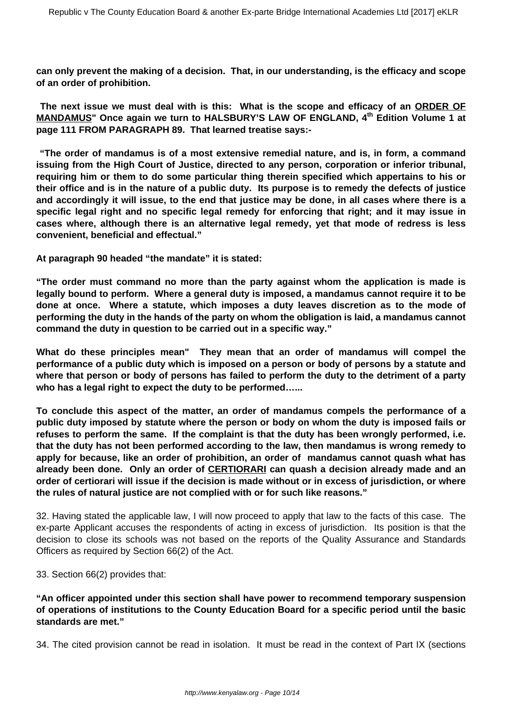**can only prevent the making of a decision. That, in our understanding, is the efficacy and scope of an order of prohibition.**

**The next issue we must deal with is this: What is the scope and efficacy of an ORDER OF MANDAMUS" Once again we turn to HALSBURY'S LAW OF ENGLAND, 4th Edition Volume 1 at page 111 FROM PARAGRAPH 89. That learned treatise says:-**

**"The order of mandamus is of a most extensive remedial nature, and is, in form, a command issuing from the High Court of Justice, directed to any person, corporation or inferior tribunal, requiring him or them to do some particular thing therein specified which appertains to his or their office and is in the nature of a public duty. Its purpose is to remedy the defects of justice and accordingly it will issue, to the end that justice may be done, in all cases where there is a specific legal right and no specific legal remedy for enforcing that right; and it may issue in cases where, although there is an alternative legal remedy, yet that mode of redress is less convenient, beneficial and effectual."**

**At paragraph 90 headed "the mandate" it is stated:**

**"The order must command no more than the party against whom the application is made is legally bound to perform. Where a general duty is imposed, a mandamus cannot require it to be done at once. Where a statute, which imposes a duty leaves discretion as to the mode of performing the duty in the hands of the party on whom the obligation is laid, a mandamus cannot command the duty in question to be carried out in a specific way."**

**What do these principles mean" They mean that an order of mandamus will compel the performance of a public duty which is imposed on a person or body of persons by a statute and where that person or body of persons has failed to perform the duty to the detriment of a party who has a legal right to expect the duty to be performed…...**

**To conclude this aspect of the matter, an order of mandamus compels the performance of a public duty imposed by statute where the person or body on whom the duty is imposed fails or refuses to perform the same. If the complaint is that the duty has been wrongly performed, i.e. that the duty has not been performed according to the law, then mandamus is wrong remedy to apply for because, like an order of prohibition, an order of mandamus cannot quash what has already been done. Only an order of CERTIORARI can quash a decision already made and an order of certiorari will issue if the decision is made without or in excess of jurisdiction, or where the rules of natural justice are not complied with or for such like reasons."**

32. Having stated the applicable law, I will now proceed to apply that law to the facts of this case. The ex-parte Applicant accuses the respondents of acting in excess of jurisdiction. Its position is that the decision to close its schools was not based on the reports of the Quality Assurance and Standards Officers as required by Section 66(2) of the Act.

33. Section 66(2) provides that:

**"An officer appointed under this section shall have power to recommend temporary suspension of operations of institutions to the County Education Board for a specific period until the basic standards are met."**

34. The cited provision cannot be read in isolation. It must be read in the context of Part IX (sections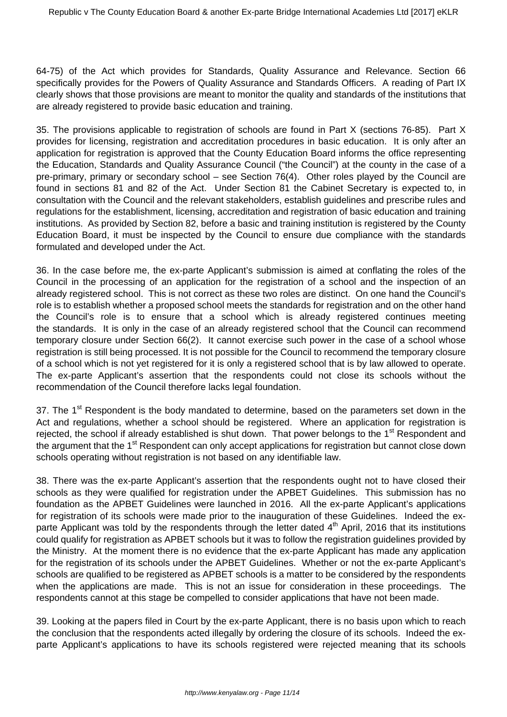64-75) of the Act which provides for Standards, Quality Assurance and Relevance. Section 66 specifically provides for the Powers of Quality Assurance and Standards Officers. A reading of Part IX clearly shows that those provisions are meant to monitor the quality and standards of the institutions that are already registered to provide basic education and training.

35. The provisions applicable to registration of schools are found in Part X (sections 76-85). Part X provides for licensing, registration and accreditation procedures in basic education. It is only after an application for registration is approved that the County Education Board informs the office representing the Education, Standards and Quality Assurance Council ("the Council") at the county in the case of a pre-primary, primary or secondary school – see Section 76(4). Other roles played by the Council are found in sections 81 and 82 of the Act. Under Section 81 the Cabinet Secretary is expected to, in consultation with the Council and the relevant stakeholders, establish guidelines and prescribe rules and regulations for the establishment, licensing, accreditation and registration of basic education and training institutions. As provided by Section 82, before a basic and training institution is registered by the County Education Board, it must be inspected by the Council to ensure due compliance with the standards formulated and developed under the Act.

36. In the case before me, the ex-parte Applicant's submission is aimed at conflating the roles of the Council in the processing of an application for the registration of a school and the inspection of an already registered school. This is not correct as these two roles are distinct. On one hand the Council's role is to establish whether a proposed school meets the standards for registration and on the other hand the Council's role is to ensure that a school which is already registered continues meeting the standards. It is only in the case of an already registered school that the Council can recommend temporary closure under Section 66(2). It cannot exercise such power in the case of a school whose registration is still being processed. It is not possible for the Council to recommend the temporary closure of a school which is not yet registered for it is only a registered school that is by law allowed to operate. The ex-parte Applicant's assertion that the respondents could not close its schools without the recommendation of the Council therefore lacks legal foundation.

37. The 1<sup>st</sup> Respondent is the body mandated to determine, based on the parameters set down in the Act and regulations, whether a school should be registered. Where an application for registration is rejected, the school if already established is shut down. That power belongs to the 1<sup>st</sup> Respondent and the argument that the 1<sup>st</sup> Respondent can only accept applications for registration but cannot close down schools operating without registration is not based on any identifiable law.

38. There was the ex-parte Applicant's assertion that the respondents ought not to have closed their schools as they were qualified for registration under the APBET Guidelines. This submission has no foundation as the APBET Guidelines were launched in 2016. All the ex-parte Applicant's applications for registration of its schools were made prior to the inauguration of these Guidelines. Indeed the exparte Applicant was told by the respondents through the letter dated 4<sup>th</sup> April, 2016 that its institutions could qualify for registration as APBET schools but it was to follow the registration guidelines provided by the Ministry. At the moment there is no evidence that the ex-parte Applicant has made any application for the registration of its schools under the APBET Guidelines. Whether or not the ex-parte Applicant's schools are qualified to be registered as APBET schools is a matter to be considered by the respondents when the applications are made. This is not an issue for consideration in these proceedings. The respondents cannot at this stage be compelled to consider applications that have not been made.

39. Looking at the papers filed in Court by the ex-parte Applicant, there is no basis upon which to reach the conclusion that the respondents acted illegally by ordering the closure of its schools. Indeed the exparte Applicant's applications to have its schools registered were rejected meaning that its schools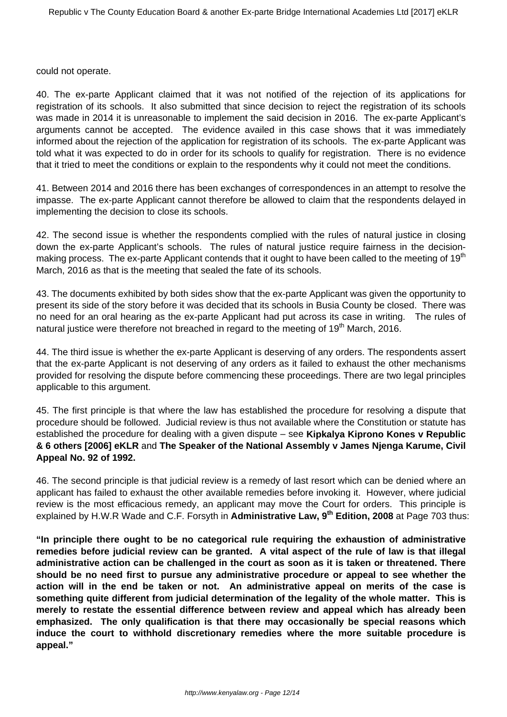could not operate.

40. The ex-parte Applicant claimed that it was not notified of the rejection of its applications for registration of its schools. It also submitted that since decision to reject the registration of its schools was made in 2014 it is unreasonable to implement the said decision in 2016. The ex-parte Applicant's arguments cannot be accepted. The evidence availed in this case shows that it was immediately informed about the rejection of the application for registration of its schools. The ex-parte Applicant was told what it was expected to do in order for its schools to qualify for registration. There is no evidence that it tried to meet the conditions or explain to the respondents why it could not meet the conditions.

41. Between 2014 and 2016 there has been exchanges of correspondences in an attempt to resolve the impasse. The ex-parte Applicant cannot therefore be allowed to claim that the respondents delayed in implementing the decision to close its schools.

42. The second issue is whether the respondents complied with the rules of natural justice in closing down the ex-parte Applicant's schools. The rules of natural justice require fairness in the decisionmaking process. The ex-parte Applicant contends that it ought to have been called to the meeting of 19<sup>th</sup> March, 2016 as that is the meeting that sealed the fate of its schools.

43. The documents exhibited by both sides show that the ex-parte Applicant was given the opportunity to present its side of the story before it was decided that its schools in Busia County be closed. There was no need for an oral hearing as the ex-parte Applicant had put across its case in writing. The rules of natural justice were therefore not breached in regard to the meeting of 19<sup>th</sup> March, 2016.

44. The third issue is whether the ex-parte Applicant is deserving of any orders. The respondents assert that the ex-parte Applicant is not deserving of any orders as it failed to exhaust the other mechanisms provided for resolving the dispute before commencing these proceedings. There are two legal principles applicable to this argument.

45. The first principle is that where the law has established the procedure for resolving a dispute that procedure should be followed. Judicial review is thus not available where the Constitution or statute has established the procedure for dealing with a given dispute – see **Kipkalya Kiprono Kones v Republic & 6 others [2006] eKLR** and **The Speaker of the National Assembly v James Njenga Karume, Civil Appeal No. 92 of 1992.**

46. The second principle is that judicial review is a remedy of last resort which can be denied where an applicant has failed to exhaust the other available remedies before invoking it. However, where judicial review is the most efficacious remedy, an applicant may move the Court for orders. This principle is explained by H.W.R Wade and C.F. Forsyth in **Administrative Law, 9th Edition, 2008** at Page 703 thus:

**"In principle there ought to be no categorical rule requiring the exhaustion of administrative remedies before judicial review can be granted. A vital aspect of the rule of law is that illegal administrative action can be challenged in the court as soon as it is taken or threatened. There should be no need first to pursue any administrative procedure or appeal to see whether the action will in the end be taken or not. An administrative appeal on merits of the case is something quite different from judicial determination of the legality of the whole matter. This is merely to restate the essential difference between review and appeal which has already been emphasized. The only qualification is that there may occasionally be special reasons which induce the court to withhold discretionary remedies where the more suitable procedure is appeal."**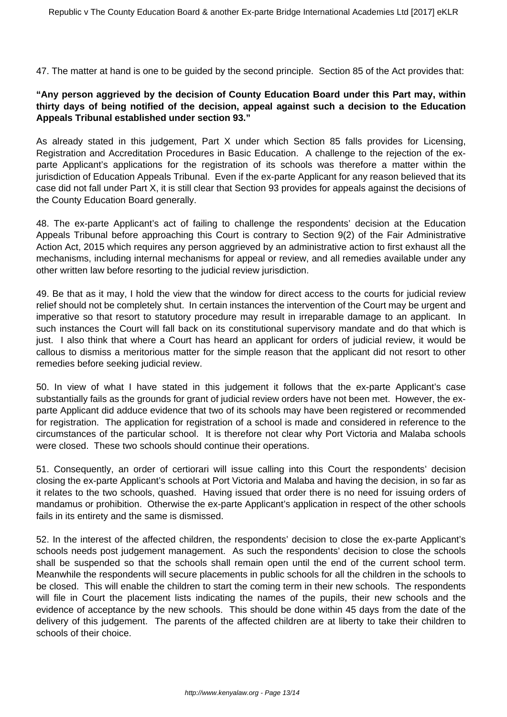47. The matter at hand is one to be guided by the second principle. Section 85 of the Act provides that:

# **"Any person aggrieved by the decision of County Education Board under this Part may, within thirty days of being notified of the decision, appeal against such a decision to the Education Appeals Tribunal established under section 93."**

As already stated in this judgement, Part X under which Section 85 falls provides for Licensing, Registration and Accreditation Procedures in Basic Education. A challenge to the rejection of the exparte Applicant's applications for the registration of its schools was therefore a matter within the jurisdiction of Education Appeals Tribunal. Even if the ex-parte Applicant for any reason believed that its case did not fall under Part X, it is still clear that Section 93 provides for appeals against the decisions of the County Education Board generally.

48. The ex-parte Applicant's act of failing to challenge the respondents' decision at the Education Appeals Tribunal before approaching this Court is contrary to Section 9(2) of the Fair Administrative Action Act, 2015 which requires any person aggrieved by an administrative action to first exhaust all the mechanisms, including internal mechanisms for appeal or review, and all remedies available under any other written law before resorting to the judicial review jurisdiction.

49. Be that as it may, I hold the view that the window for direct access to the courts for judicial review relief should not be completely shut. In certain instances the intervention of the Court may be urgent and imperative so that resort to statutory procedure may result in irreparable damage to an applicant. In such instances the Court will fall back on its constitutional supervisory mandate and do that which is just. I also think that where a Court has heard an applicant for orders of judicial review, it would be callous to dismiss a meritorious matter for the simple reason that the applicant did not resort to other remedies before seeking judicial review.

50. In view of what I have stated in this judgement it follows that the ex-parte Applicant's case substantially fails as the grounds for grant of judicial review orders have not been met. However, the exparte Applicant did adduce evidence that two of its schools may have been registered or recommended for registration. The application for registration of a school is made and considered in reference to the circumstances of the particular school. It is therefore not clear why Port Victoria and Malaba schools were closed. These two schools should continue their operations.

51. Consequently, an order of certiorari will issue calling into this Court the respondents' decision closing the ex-parte Applicant's schools at Port Victoria and Malaba and having the decision, in so far as it relates to the two schools, quashed. Having issued that order there is no need for issuing orders of mandamus or prohibition. Otherwise the ex-parte Applicant's application in respect of the other schools fails in its entirety and the same is dismissed.

52. In the interest of the affected children, the respondents' decision to close the ex-parte Applicant's schools needs post judgement management. As such the respondents' decision to close the schools shall be suspended so that the schools shall remain open until the end of the current school term. Meanwhile the respondents will secure placements in public schools for all the children in the schools to be closed. This will enable the children to start the coming term in their new schools. The respondents will file in Court the placement lists indicating the names of the pupils, their new schools and the evidence of acceptance by the new schools. This should be done within 45 days from the date of the delivery of this judgement. The parents of the affected children are at liberty to take their children to schools of their choice.